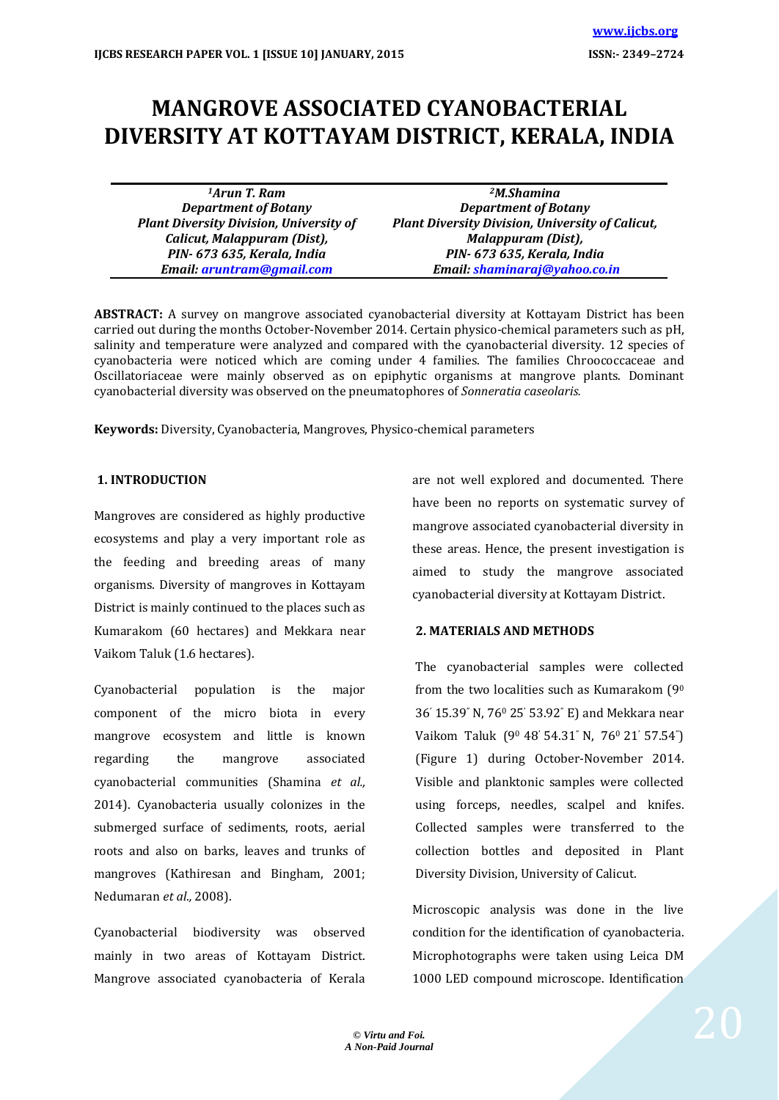# **MANGROVE ASSOCIATED CYANOBACTERIAL DIVERSITY AT KOTTAYAM DISTRICT, KERALA, INDIA**

*<sup>1</sup>Arun T. Ram Department of Botany Plant Diversity Division, University of Calicut, Malappuram (Dist), PIN- 673 635, Kerala, India Email: [aruntram@gmail.com](mailto:aruntram@gmail.com)*

*<sup>2</sup>M.Shamina Department of Botany Plant Diversity Division, University of Calicut, Malappuram (Dist), PIN- 673 635, Kerala, India Email: [shaminaraj@yahoo.co.in](mailto:shaminaraj@yahoo.co.in)*

**ABSTRACT:** A survey on mangrove associated cyanobacterial diversity at Kottayam District has been carried out during the months October-November 2014. Certain physico-chemical parameters such as pH, salinity and temperature were analyzed and compared with the cyanobacterial diversity. 12 species of cyanobacteria were noticed which are coming under 4 families. The families Chroococcaceae and Oscillatoriaceae were mainly observed as on epiphytic organisms at mangrove plants. Dominant cyanobacterial diversity was observed on the pneumatophores of *Sonneratia caseolaris.*

**Keywords:** Diversity, Cyanobacteria, Mangroves, Physico-chemical parameters

#### **1. INTRODUCTION**

Mangroves are considered as highly productive ecosystems and play a very important role as the feeding and breeding areas of many organisms. Diversity of mangroves in Kottayam District is mainly continued to the places such as Kumarakom (60 hectares) and Mekkara near Vaikom Taluk (1.6 hectares).

Cyanobacterial population is the major component of the micro biota in every mangrove ecosystem and little is known regarding the mangrove associated cyanobacterial communities (Shamina *et al.,* 2014). Cyanobacteria usually colonizes in the submerged surface of sediments, roots, aerial roots and also on barks, leaves and trunks of mangroves (Kathiresan and Bingham, 2001; Nedumaran *et al.,* 2008).

Cyanobacterial biodiversity was observed mainly in two areas of Kottayam District. Mangrove associated cyanobacteria of Kerala are not well explored and documented. There have been no reports on systematic survey of mangrove associated cyanobacterial diversity in these areas. Hence, the present investigation is aimed to study the mangrove associated cyanobacterial diversity at Kottayam District.

#### **2. MATERIALS AND METHODS**

The cyanobacterial samples were collected from the two localities such as Kumarakom (9<sup>0</sup> 36' 15.39" N, 76<sup>0</sup> 25' 53.92" E) and Mekkara near Vaikom Taluk (90 48' 54.31" N, 760 21' 57.54") (Figure 1) during October-November 2014. Visible and planktonic samples were collected using forceps, needles, scalpel and knifes. Collected samples were transferred to the collection bottles and deposited in Plant Diversity Division, University of Calicut.

Microscopic analysis was done in the live condition for the identification of cyanobacteria. Microphotographs were taken using Leica DM 1000 LED compound microscope. Identification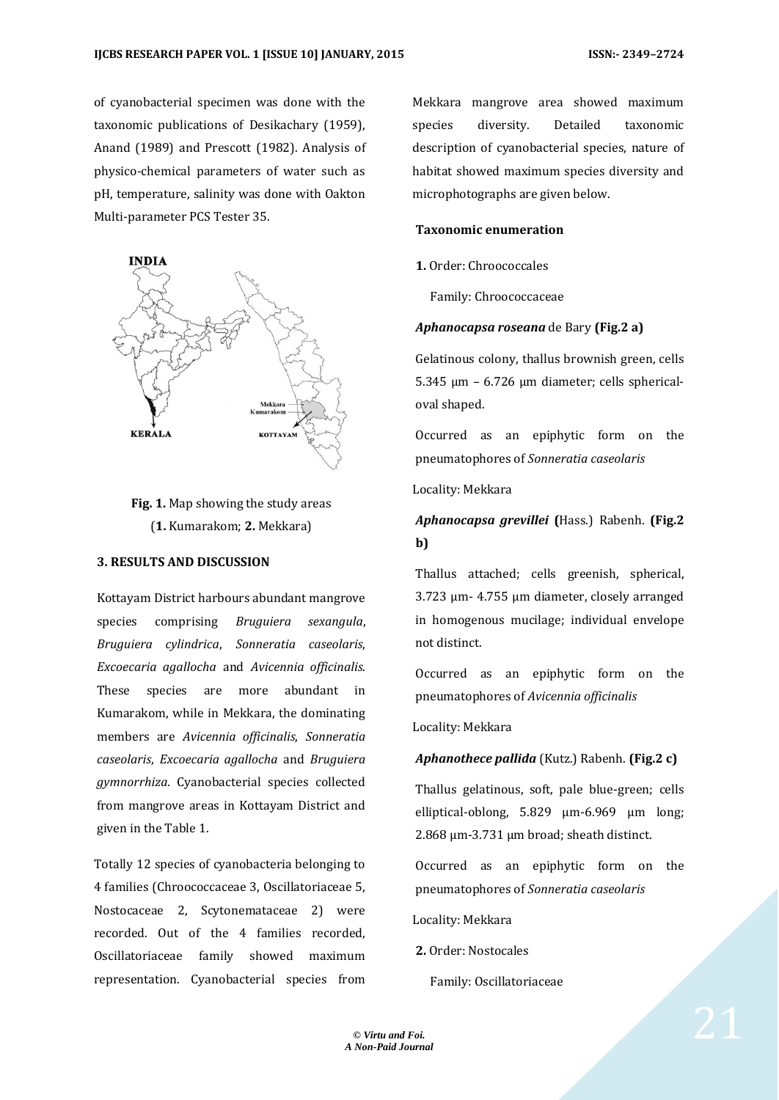of cyanobacterial specimen was done with the taxonomic publications of Desikachary (1959), Anand (1989) and Prescott (1982). Analysis of physico-chemical parameters of water such as pH, temperature, salinity was done with Oakton Multi-parameter PCS Tester 35.



# **Fig. 1.** Map showing the study areas (**1.** Kumarakom; **2.** Mekkara)

#### **3. RESULTS AND DISCUSSION**

Kottayam District harbours abundant mangrove species comprising *Bruguiera sexangula*, *Bruguiera cylindrica*, *Sonneratia caseolaris*, *Excoecaria agallocha* and *Avicennia officinalis*. These species are more abundant in Kumarakom, while in Mekkara, the dominating members are *Avicennia officinalis*, *Sonneratia caseolaris*, *Excoecaria agallocha* and *Bruguiera gymnorrhiza*. Cyanobacterial species collected from mangrove areas in Kottayam District and given in the Table 1.

Totally 12 species of cyanobacteria belonging to 4 families (Chroococcaceae 3, Oscillatoriaceae 5, Nostocaceae 2, Scytonemataceae 2) were recorded. Out of the 4 families recorded, Oscillatoriaceae family showed maximum representation. Cyanobacterial species from

Mekkara mangrove area showed maximum species diversity. Detailed taxonomic description of cyanobacterial species, nature of habitat showed maximum species diversity and microphotographs are given below.

#### **Taxonomic enumeration**

**1.** Order: Chroococcales

Family: Chroococcaceae

#### *Aphanocapsa roseana* de Bary **(Fig.2 a)**

Gelatinous colony, thallus brownish green, cells 5.345 µm – 6.726 µm diameter; cells sphericaloval shaped.

Occurred as an epiphytic form on the pneumatophores of *Sonneratia caseolaris*

Locality: Mekkara

### *Aphanocapsa grevillei* **(**Hass.) Rabenh. **(Fig.2 b)**

Thallus attached; cells greenish, spherical, 3.723 µm- 4.755 µm diameter, closely arranged in homogenous mucilage; individual envelope not distinct.

Occurred as an epiphytic form on the pneumatophores of *Avicennia officinalis* 

Locality: Mekkara

#### *Aphanothece pallida* (Kutz.) Rabenh. **(Fig.2 c)**

Thallus gelatinous, soft, pale blue-green; cells elliptical-oblong, 5.829 µm-6.969 µm long; 2.868 µm-3.731 µm broad; sheath distinct.

Occurred as an epiphytic form on the pneumatophores of *Sonneratia caseolaris*

Locality: Mekkara

**2.** Order: Nostocales

Family: Oscillatoriaceae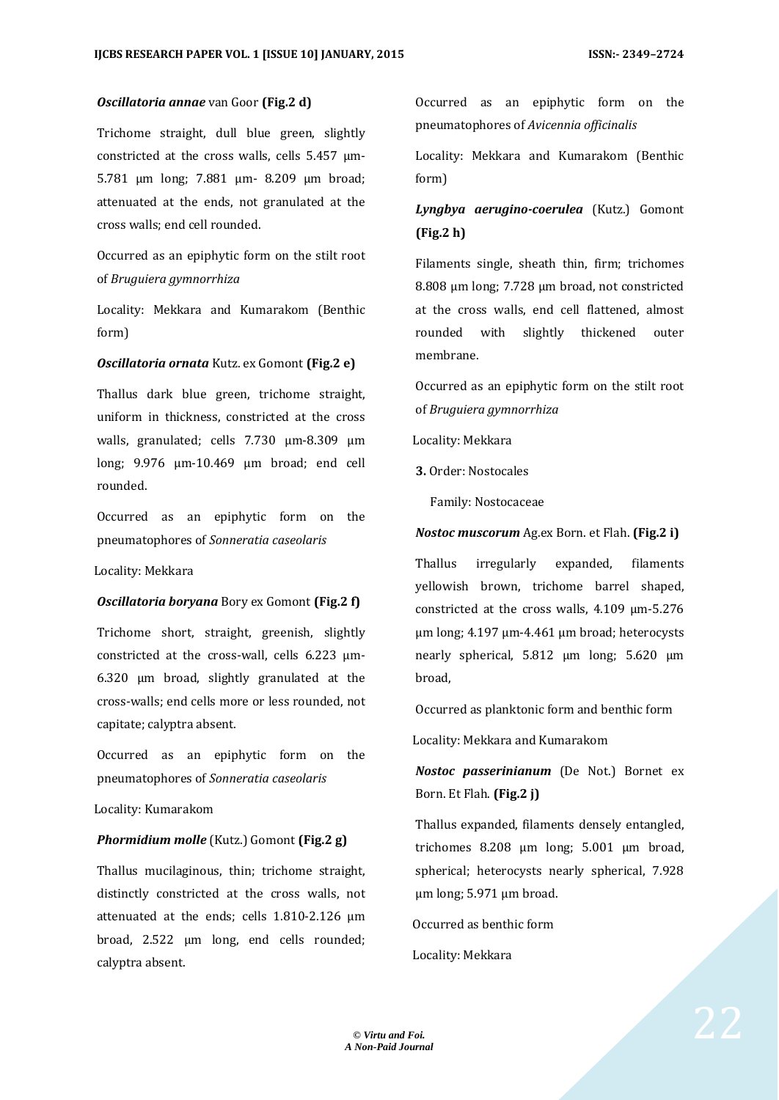#### *Oscillatoria annae* van Goor **(Fig.2 d)**

Trichome straight, dull blue green, slightly constricted at the cross walls, cells 5.457 µm-5.781 µm long; 7.881 µm- 8.209 µm broad; attenuated at the ends, not granulated at the cross walls; end cell rounded.

Occurred as an epiphytic form on the stilt root of *Bruguiera gymnorrhiza* 

Locality: Mekkara and Kumarakom (Benthic form)

#### *Oscillatoria ornata* Kutz. ex Gomont **(Fig.2 e)**

Thallus dark blue green, trichome straight, uniform in thickness, constricted at the cross walls, granulated; cells 7.730 µm-8.309 µm long; 9.976 µm-10.469 µm broad; end cell rounded.

Occurred as an epiphytic form on the pneumatophores of *Sonneratia caseolaris* 

Locality: Mekkara

#### *Oscillatoria boryana* Bory ex Gomont **(Fig.2 f)**

Trichome short, straight, greenish, slightly constricted at the cross-wall, cells  $6.223 \mu m$ -6.320 µm broad, slightly granulated at the cross-walls; end cells more or less rounded, not capitate; calyptra absent.

Occurred as an epiphytic form on the pneumatophores of *Sonneratia caseolaris*

Locality: Kumarakom

#### *Phormidium molle* (Kutz.) Gomont **(Fig.2 g)**

Thallus mucilaginous, thin; trichome straight, distinctly constricted at the cross walls, not attenuated at the ends; cells 1.810-2.126 µm broad, 2.522 µm long, end cells rounded; calyptra absent.

Occurred as an epiphytic form on the pneumatophores of *Avicennia officinalis* 

Locality: Mekkara and Kumarakom (Benthic form)

## *Lyngbya aerugino-coerulea* (Kutz.) Gomont **(Fig.2 h)**

Filaments single, sheath thin, firm; trichomes 8.808 µm long; 7.728 µm broad, not constricted at the cross walls, end cell flattened, almost rounded with slightly thickened outer membrane.

Occurred as an epiphytic form on the stilt root of *Bruguiera gymnorrhiza*

Locality: Mekkara

**3.** Order: Nostocales

Family: Nostocaceae

#### *Nostoc muscorum* Ag.ex Born. et Flah. **(Fig.2 i)**

Thallus irregularly expanded, filaments yellowish brown, trichome barrel shaped, constricted at the cross walls, 4.109 µm-5.276 µm long; 4.197 µm-4.461 µm broad; heterocysts nearly spherical, 5.812 µm long; 5.620 µm broad,

Occurred as planktonic form and benthic form

Locality: Mekkara and Kumarakom

*Nostoc passerinianum* (De Not.) Bornet ex Born. Et Flah. **(Fig.2 j)**

Thallus expanded, filaments densely entangled, trichomes 8.208 µm long; 5.001 µm broad, spherical; heterocysts nearly spherical, 7.928 µm long; 5.971 µm broad.

Occurred as benthic form

Locality: Mekkara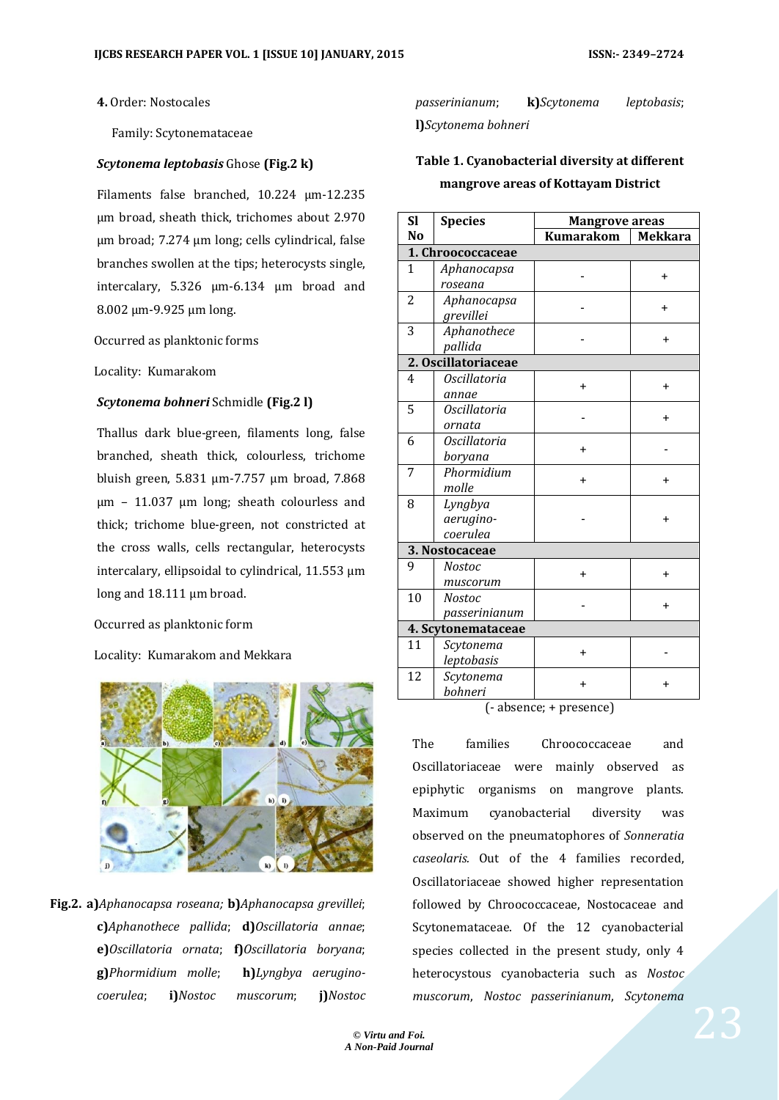**4.** Order: Nostocales

Family: Scytonemataceae

#### *Scytonema leptobasis* Ghose **(Fig.2 k)**

Filaments false branched, 10.224 µm-12.235 µm broad, sheath thick, trichomes about 2.970 µm broad; 7.274 µm long; cells cylindrical, false branches swollen at the tips; heterocysts single, intercalary, 5.326 µm-6.134 µm broad and 8.002 µm-9.925 µm long.

Occurred as planktonic forms

Locality: Kumarakom

#### *Scytonema bohneri* Schmidle **(Fig.2 l)**

Thallus dark blue-green, filaments long, false branched, sheath thick, colourless, trichome bluish green, 5.831 µm-7.757 µm broad, 7.868 µm – 11.037 µm long; sheath colourless and thick; trichome blue-green, not constricted at the cross walls, cells rectangular, heterocysts intercalary, ellipsoidal to cylindrical, 11.553 µm long and 18.111 µm broad.

Occurred as planktonic form

Locality: Kumarakom and Mekkara



**Fig.2. a)***Aphanocapsa roseana;* **b)***Aphanocapsa grevillei*; **c)***Aphanothece pallida*; **d)***Oscillatoria annae*; **e)***Oscillatoria ornata*; **f)***Oscillatoria boryana*; **g)***Phormidium molle*; **h)***Lyngbya aeruginocoerulea*; **i)***Nostoc muscorum*; **j)***Nostoc* 

*passerinianum*; **k)***Scytonema leptobasis*; **l)***Scytonema bohneri*

# **Table 1. Cyanobacterial diversity at different mangrove areas of Kottayam District**

| <b>Sl</b>      | <b>Species</b>      | <b>Mangrove areas</b> |                |  |  |
|----------------|---------------------|-----------------------|----------------|--|--|
| N <sub>0</sub> |                     | <b>Kumarakom</b>      | <b>Mekkara</b> |  |  |
|                | 1. Chroococcaceae   |                       |                |  |  |
| $\mathbf{1}$   | Aphanocapsa         |                       | $\ddot{}$      |  |  |
|                | roseana             |                       |                |  |  |
| $\overline{2}$ | Aphanocapsa         |                       | $\ddot{}$      |  |  |
|                | grevillei           |                       |                |  |  |
| 3              | Aphanothece         |                       | $\ddot{}$      |  |  |
|                | pallida             |                       |                |  |  |
|                | 2. Oscillatoriaceae |                       |                |  |  |
| 4              | <i>Oscillatoria</i> | $\ddot{}$             | $\ddot{}$      |  |  |
|                | annae               |                       |                |  |  |
| 5              | <b>Oscillatoria</b> |                       | $\ddot{}$      |  |  |
|                | ornata              |                       |                |  |  |
| 6              | <b>Oscillatoria</b> | $\ddot{}$             |                |  |  |
|                | boryana             |                       |                |  |  |
| 7              | Phormidium          | $\pmb{+}$             | $\ddot{}$      |  |  |
|                | molle               |                       |                |  |  |
| 8              | Lyngbya             |                       |                |  |  |
|                | aerugino-           |                       | $\ddot{}$      |  |  |
|                | coerulea            |                       |                |  |  |
|                | 3. Nostocaceae      |                       |                |  |  |
| 9              | <b>Nostoc</b>       | $\ddot{}$             | +              |  |  |
|                | muscorum            |                       |                |  |  |
| 10             | <b>Nostoc</b>       |                       | $\ddot{}$      |  |  |
|                | passerinianum       |                       |                |  |  |
|                | 4. Scytonemataceae  |                       |                |  |  |
| 11             | Scytonema           | $\ddot{}$             |                |  |  |
|                | leptobasis          |                       |                |  |  |
| 12             | Scytonema           | $\pmb{+}$             | +              |  |  |
|                | bohneri             |                       |                |  |  |

(- absence; + presence)

The families Chroococcaceae and Oscillatoriaceae were mainly observed as epiphytic organisms on mangrove plants. Maximum cyanobacterial diversity was observed on the pneumatophores of *Sonneratia caseolaris.* Out of the 4 families recorded, Oscillatoriaceae showed higher representation followed by Chroococcaceae, Nostocaceae and Scytonemataceae. Of the 12 cyanobacterial species collected in the present study, only 4 heterocystous cyanobacteria such as *Nostoc muscorum*, *Nostoc passerinianum*, *Scytonema*